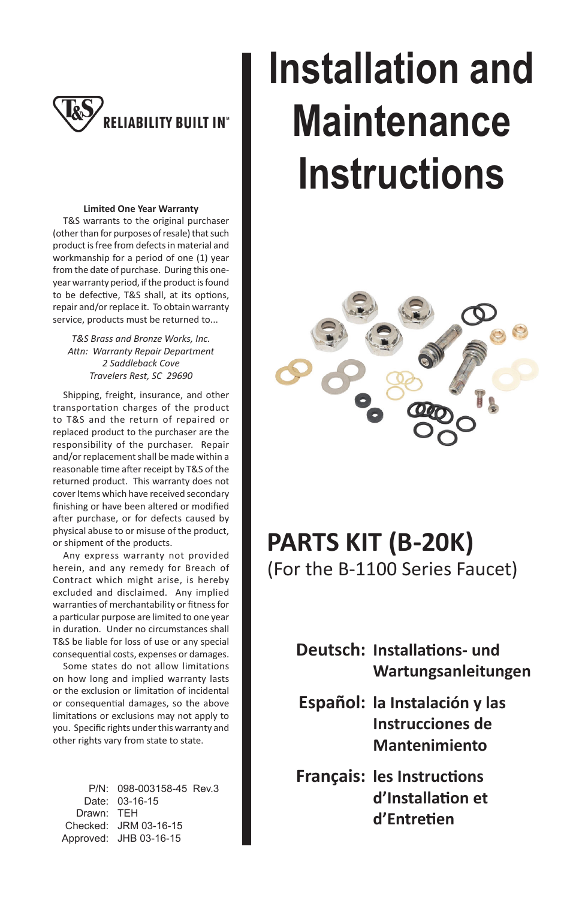

#### **Limited One Year Warranty**

 T&S warrants to the original purchaser (other than for purposes of resale) that such product is free from defects in material and workmanship for a period of one (1) year from the date of purchase. During this oneyear warranty period, if the product is found to be defective, T&S shall, at its options, repair and/or replace it. To obtain warranty service, products must be returned to...

*T&S Brass and Bronze Works, Inc. AƩ n: Warranty Repair Department 2 Saddleback Cove Travelers Rest, SC 29690*

 Shipping, freight, insurance, and other transportation charges of the product to T&S and the return of repaired or replaced product to the purchaser are the responsibility of the purchaser. Repair and/or replacement shall be made within a reasonable time after receipt by T&S of the returned product. This warranty does not cover Items which have received secondary finishing or have been altered or modified after purchase, or for defects caused by physical abuse to or misuse of the product, or shipment of the products.

 Any express warranty not provided herein, and any remedy for Breach of Contract which might arise, is hereby excluded and disclaimed. Any implied warranties of merchantability or fitness for a particular purpose are limited to one year in duration. Under no circumstances shall T&S be liable for loss of use or any special consequential costs, expenses or damages.

 Some states do not allow limitations on how long and implied warranty lasts or the exclusion or limitation of incidental or consequential damages, so the above limitations or exclusions may not apply to you. Specific rights under this warranty and other rights vary from state to state.

 P/N: 098-003158-45 Rev.3 Date: 03-16-15 Drawn: TEH Checked: JRM 03-16-15 Approved: JHB 03-16-15

# **Installation and Maintenance Instructions**



## **PARTS KIT (B-20K)**

(For the B-1100 Series Faucet)

**Deutsch: Installations- und Wartungsanleitungen**

- **Español: la Instalación y las Instrucciones de Mantenimiento**
- **Français: les Instructions d'InstallaƟ on et d'EntreƟ en**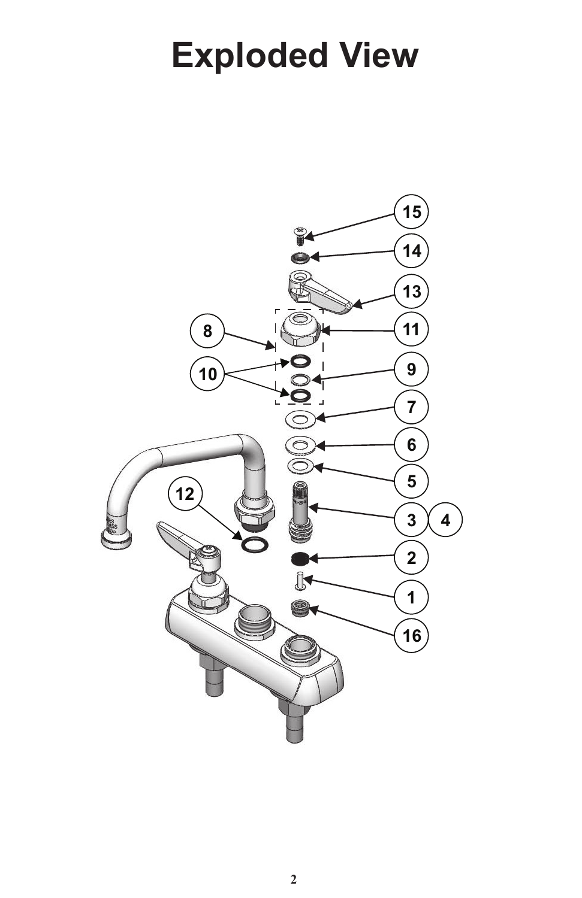## **Exploded View**

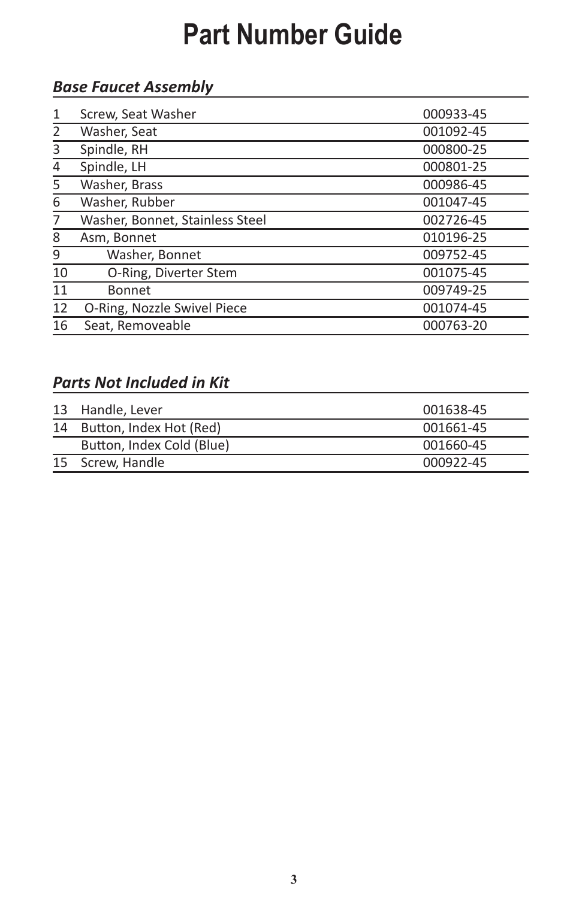### **Part Number Guide**

### *Base Faucet Assembly*

| $\mathbf{1}$ | Screw, Seat Washer              | 000933-45 |
|--------------|---------------------------------|-----------|
| 2            | Washer, Seat                    | 001092-45 |
| 3            | Spindle, RH                     | 000800-25 |
| 4            | Spindle, LH                     | 000801-25 |
| 5            | Washer, Brass                   | 000986-45 |
| 6            | Washer, Rubber                  | 001047-45 |
| 7            | Washer, Bonnet, Stainless Steel | 002726-45 |
| 8            | Asm, Bonnet                     | 010196-25 |
| 9            | Washer, Bonnet                  | 009752-45 |
| 10           | O-Ring, Diverter Stem           | 001075-45 |
| 11           | <b>Bonnet</b>                   | 009749-25 |
| 12           | O-Ring, Nozzle Swivel Piece     | 001074-45 |
| 16           | Seat. Removeable                | 000763-20 |

#### *Parts Not Included in Kit*

|    | 13 Handle, Lever          | 001638-45 |
|----|---------------------------|-----------|
| 14 | Button, Index Hot (Red)   | 001661-45 |
|    | Button, Index Cold (Blue) | 001660-45 |
|    | 15 Screw, Handle          | 000922-45 |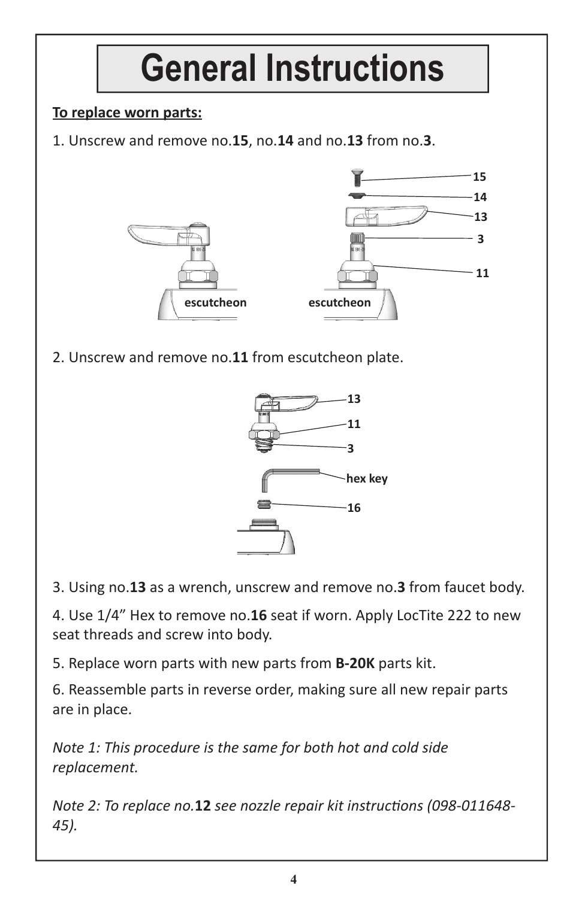

3. Using no.**13** as a wrench, unscrew and remove no.**3** from faucet body.

4. Use 1/4" Hex to remove no.**16** seat if worn. Apply LocTite 222 to new seat threads and screw into body.

5. Replace worn parts with new parts from **B-20K** parts kit.

6. Reassemble parts in reverse order, making sure all new repair parts are in place.

*Note 1: This procedure is the same for both hot and cold side replacement.*

*Note 2: To replace no.***12** see nozzle repair kit instructions (098-011648-*45).*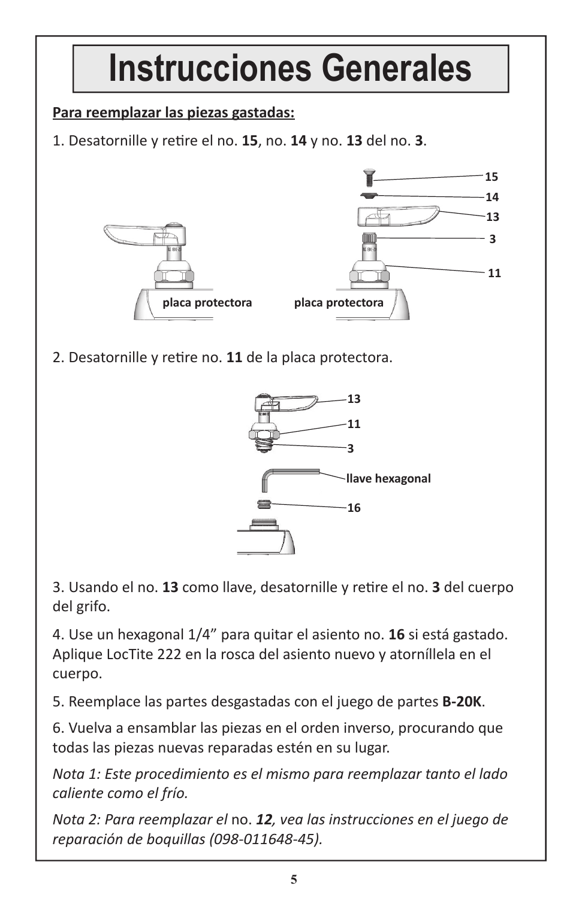## **Instrucciones Generales**

### **Para reemplazar las piezas gastadas:**

1. Desatornille y reƟ re el no. **15**, no. **14** y no. **13** del no. **3**.



2. Desatornille y retire no. 11 de la placa protectora.



3. Usando el no. **13** como llave, desatornille y reƟ re el no. **3** del cuerpo del grifo.

4. Use un hexagonal 1/4" para quitar el asiento no. **16** si está gastado. Aplique LocTite 222 en la rosca del asiento nuevo y atorníllela en el cuerpo.

5. Reemplace las partes desgastadas con el juego de partes **B-20K**.

6. Vuelva a ensamblar las piezas en el orden inverso, procurando que todas las piezas nuevas reparadas estén en su lugar.

*Nota 1: Este procedimiento es el mismo para reemplazar tanto el lado caliente como el frío.*

*Nota 2: Para reemplazar el* no. *12, vea las instrucciones en el juego de reparación de boquillas (098-011648-45).*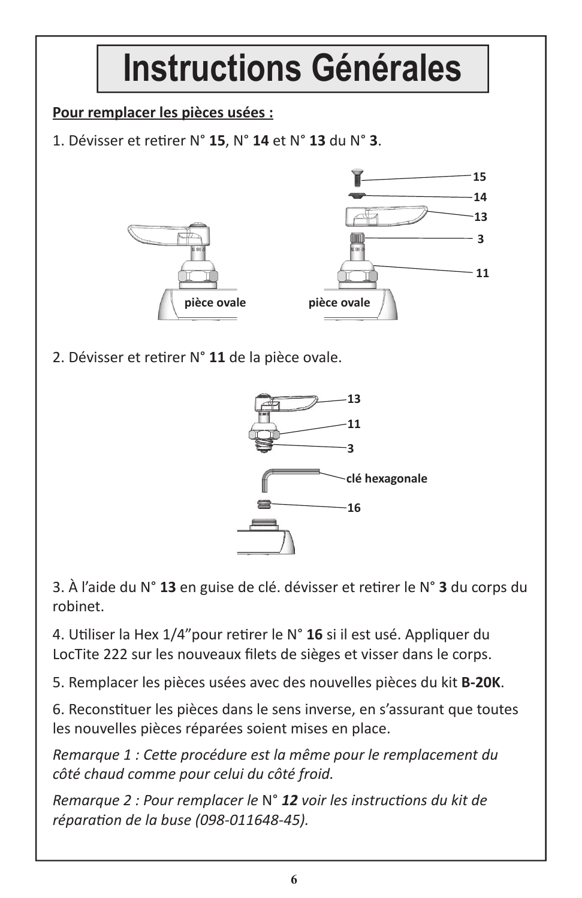

3. À l'aide du N° **13** en guise de clé. dévisser et reƟ rer le N° **3** du corps du robinet.

4. Utiliser la Hex 1/4"pour retirer le N° 16 si il est usé. Appliquer du LocTite 222 sur les nouveaux filets de sièges et visser dans le corps.

5. Remplacer les pièces usées avec des nouvelles pièces du kit **B-20K**.

6. Reconstituer les pièces dans le sens inverse, en s'assurant que toutes les nouvelles pièces réparées soient mises en place.

*Remarque 1 : CeƩ e procédure est la même pour le remplacement du côté chaud comme pour celui du côté froid.*

*Remarque 2 : Pour remplacer le N° 12 voir les instructions du kit de réparaƟ on de la buse (098-011648-45).*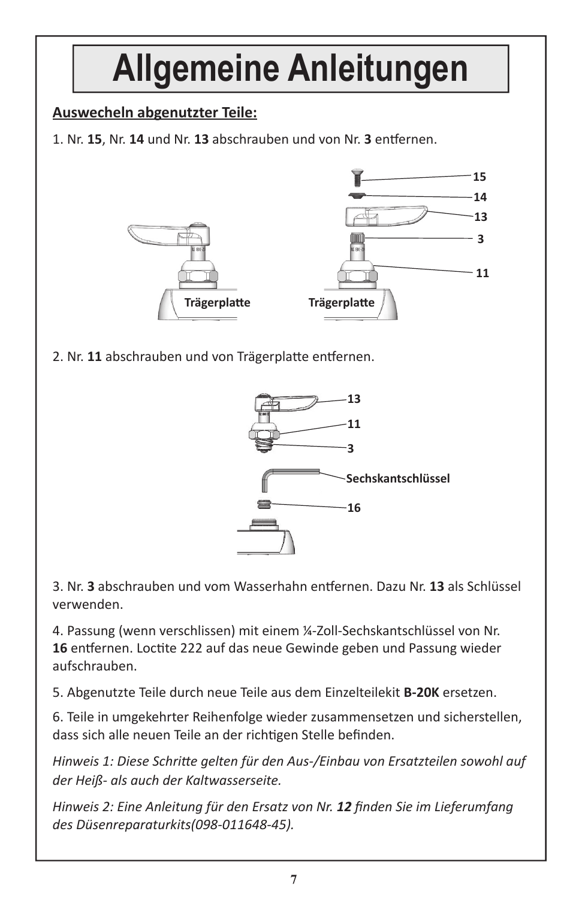### **Allgemeine Anleitungen Auswecheln abgenutzter Teile:** 1. Nr. 15, Nr. 14 und Nr. 13 abschrauben und von Nr. 3 entfernen. **15 13 3 11 14** 2. Nr. 11 abschrauben und von Trägerplatte entfernen. **TrägerplaƩ e TrägerplaƩ e 13**

**11 3 Sechskantschlüssel** $\equiv$ **16**

3. Nr. **3** abschrauben und vom Wasserhahn enƞ ernen. Dazu Nr. **13** als Schlüssel verwenden.

4. Passung (wenn verschlissen) mit einem ¼-Zoll-Sechskantschlüssel von Nr. 16 entfernen. Loctite 222 auf das neue Gewinde geben und Passung wieder aufschrauben.

5. Abgenutzte Teile durch neue Teile aus dem Einzelteilekit **B-20K** ersetzen.

6. Teile in umgekehrter Reihenfolge wieder zusammensetzen und sicherstellen, dass sich alle neuen Teile an der richtigen Stelle befinden.

*Hinweis 1: Diese SchriƩ e gelten für den Aus-/Einbau von Ersatzteilen sowohl auf der Heiß- als auch der Kaltwasserseite.*

*Hinweis 2: Eine Anleitung für den Ersatz von Nr. 12 finden Sie im Lieferumfang des Düsenreparaturkits(098-011648-45).*